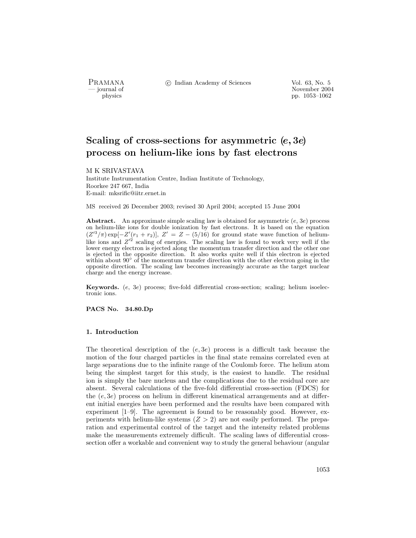PRAMANA °c Indian Academy of Sciences Vol. 63, No. 5

physics<br>
and the state of the state of the November 2004<br>
pp. 1053–1062 pp. 1053–1062

# Scaling of cross-sections for asymmetric (e, 3e) process on helium-like ions by fast electrons

M K SRIVASTAVA

Institute Instrumentation Centre, Indian Institute of Technology, Roorkee 247 667, India E-mail: mksrific@iitr.ernet.in

MS received 26 December 2003; revised 30 April 2004; accepted 15 June 2004

Abstract. An approximate simple scaling law is obtained for asymmetric  $(e, 3e)$  process on helium-like ions for double ionization by fast electrons. It is based on the equation  $(Z'^3/\pi)$  exp[ $-Z'(r_1 + r_2)$ ],  $Z' = Z - (5/16)$  for ground state wave function of heliumlike ions and  $Z'^2$  scaling of energies. The scaling law is found to work very well if the lower energy electron is ejected along the momentum transfer direction and the other one is ejected in the opposite direction. It also works quite well if this electron is ejected within about  $90°$  of the momentum transfer direction with the other electron going in the opposite direction. The scaling law becomes increasingly accurate as the target nuclear charge and the energy increase.

Keywords. (e, 3e) process; five-fold differential cross-section; scaling; helium isoelectronic ions.

PACS No. 34.80.Dp

#### 1. Introduction

The theoretical description of the  $(e, 3e)$  process is a difficult task because the motion of the four charged particles in the final state remains correlated even at large separations due to the infinite range of the Coulomb force. The helium atom being the simplest target for this study, is the easiest to handle. The residual ion is simply the bare nucleus and the complications due to the residual core are absent. Several calculations of the five-fold differential cross-section (FDCS) for the  $(e, 3e)$  process on helium in different kinematical arrangements and at different initial energies have been performed and the results have been compared with experiment [1–9]. The agreement is found to be reasonably good. However, experiments with helium-like systems  $(Z > 2)$  are not easily performed. The preparation and experimental control of the target and the intensity related problems make the measurements extremely difficult. The scaling laws of differential crosssection offer a workable and convenient way to study the general behaviour (angular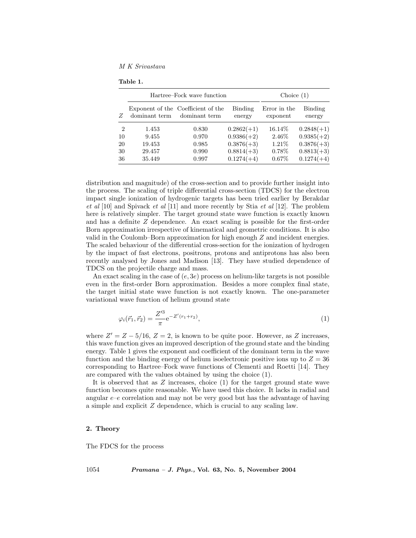M K Srivastava

Table 1.

|                | Hartree–Fock wave function |                                                     |                   | Choice $(1)$             |                   |
|----------------|----------------------------|-----------------------------------------------------|-------------------|--------------------------|-------------------|
| Z              | dominant term              | Exponent of the Coefficient of the<br>dominant term | Binding<br>energy | Error in the<br>exponent | Binding<br>energy |
| $\overline{2}$ | 1.453                      | 0.830                                               | $0.2862(+1)$      | $16.14\%$                | $0.2848(+1)$      |
| 10             | 9.455                      | 0.970                                               | $0.9386(+2)$      | 2.46\%                   | $0.9385(+2)$      |
| 20             | 19.453                     | 0.985                                               | $0.3876(+3)$      | $1.21\%$                 | $0.3876(+3)$      |
| 30             | 29.457                     | 0.990                                               | $0.8814(+3)$      | $0.78\%$                 | $0.8813(+3)$      |
| 36             | 35.449                     | 0.997                                               | $0.1274(+4)$      | $0.67\%$                 | $0.1274(+4)$      |

distribution and magnitude) of the cross-section and to provide further insight into the process. The scaling of triple differential cross-section (TDCS) for the electron impact single ionization of hydrogenic targets has been tried earlier by Berakdar  $et \ al \ [10]$  and Spivack  $et \ al \ [11]$  and more recently by Stia  $et \ al \ [12]$ . The problem here is relatively simpler. The target ground state wave function is exactly known and has a definite Z dependence. An exact scaling is possible for the first-order Born approximation irrespective of kinematical and geometric conditions. It is also valid in the Coulomb–Born approximation for high enough Z and incident energies. The scaled behaviour of the differential cross-section for the ionization of hydrogen by the impact of fast electrons, positrons, protons and antiprotons has also been recently analysed by Jones and Madison [13]. They have studied dependence of TDCS on the projectile charge and mass.

An exact scaling in the case of  $(e, 3e)$  process on helium-like targets is not possible even in the first-order Born approximation. Besides a more complex final state, the target initial state wave function is not exactly known. The one-parameter variational wave function of helium ground state

$$
\varphi_i(\vec{r}_1, \vec{r}_2) = \frac{Z'^3}{\pi} e^{-Z'(r_1 + r_2)},\tag{1}
$$

where  $Z' = Z - 5/16$ ,  $Z = 2$ , is known to be quite poor. However, as Z increases, this wave function gives an improved description of the ground state and the binding energy. Table 1 gives the exponent and coefficient of the dominant term in the wave function and the binding energy of helium isoelectronic positive ions up to  $Z = 36$ corresponding to Hartree–Fock wave functions of Clementi and Roetti [14]. They are compared with the values obtained by using the choice (1).

It is observed that as Z increases, choice (1) for the target ground state wave function becomes quite reasonable. We have used this choice. It lacks in radial and angular  $e-e$  correlation and may not be very good but has the advantage of having a simple and explicit Z dependence, which is crucial to any scaling law.

## 2. Theory

The FDCS for the process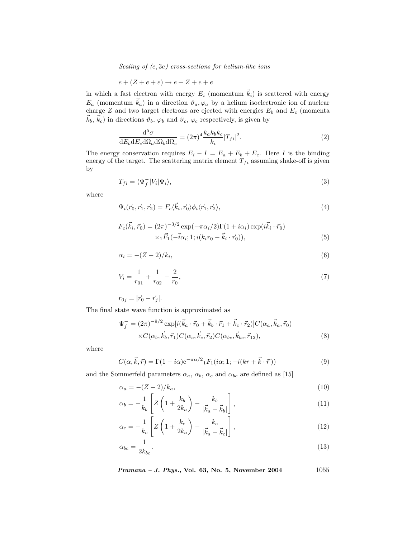Scaling of (e, 3e) cross-sections for helium-like ions

$$
e + (Z + e + e) \rightarrow e + Z + e + e
$$

in which a fast electron with energy  $E_i$  (momentum  $\vec{k}_i$ ) is scattered with energy  $E_a$  (momentum  $\vec{k}_a$ ) in a direction  $\vartheta_a, \varphi_a$  by a helium isoelectronic ion of nuclear charge  $Z$  and two target electrons are ejected with energies  $E_b$  and  $E_c$  (momenta  $\vec{k}_b, \vec{k}_c$  in directions  $\vartheta_b, \varphi_b$  and  $\vartheta_c, \varphi_c$  respectively, is given by

$$
\frac{\mathrm{d}^5 \sigma}{\mathrm{d}E_b \mathrm{d}E_c \mathrm{d}\Omega_a \mathrm{d}\Omega_b \mathrm{d}\Omega_c} = (2\pi)^4 \frac{k_a k_b k_c}{k_i} |T_{fi}|^2. \tag{2}
$$

The energy conservation requires  $E_i - I = E_a + E_b + E_c$ . Here I is the binding energy of the target. The scattering matrix element  $T_{fi}$  assuming shake-off is given by

$$
T_{fi} = \langle \Psi_f^- | V_i | \Psi_i \rangle,\tag{3}
$$

where

$$
\Psi_i(\vec{r}_0, \vec{r}_1, \vec{r}_2) = F_c \langle \vec{k}_i, \vec{r}_0 \rangle \phi_i \langle \vec{r}_1, \vec{r}_2 \rangle, \tag{4}
$$

$$
F_c(\vec{k}_i, \vec{r}_0) = (2\pi)^{-3/2} \exp(-\pi \alpha_i/2) \Gamma(1 + i\alpha_i) \exp(i\vec{k}_i \cdot \vec{r}_0)
$$
  
 
$$
\times_1 \vec{F}_1(-\vec{i}\alpha_i; 1; i(k_i r_0 - \vec{k}_i \cdot \vec{r}_0)), \tag{5}
$$

$$
\alpha_i = -(Z-2)/k_i,\tag{6}
$$

$$
V_i = \frac{1}{r_{01}} + \frac{1}{r_{02}} - \frac{2}{r_0},\tag{7}
$$

 $r_{0j} = |\vec{r}_0 - \vec{r}_j|.$ 

The final state wave function is approximated as

$$
\Psi_f^- = (2\pi)^{-9/2} \exp[i(\vec{k}_a \cdot \vec{r}_0 + \vec{k}_b \cdot \vec{r}_1 + \vec{k}_c \cdot \vec{r}_2)] C(\alpha_a, \vec{k}_a, \vec{r}_0)
$$
  
×C( $\alpha_b, \vec{k}_b, \vec{r}_1$ )C( $\alpha_c, \vec{k}_c, \vec{r}_2$ )C( $\alpha_{bc}, \vec{k}_{bc}, \vec{r}_{12}$ ), (8)

where

$$
C(\alpha, \vec{k}, \vec{r}) = \Gamma(1 - i\alpha) e^{-\pi \alpha/2} {}_1F_1(i\alpha; 1; -i(kr + \vec{k} \cdot \vec{r}))
$$
\n(9)

and the Sommerfeld parameters  $\alpha_a$ ,  $\alpha_b$ ,  $\alpha_c$  and  $\alpha_{bc}$  are defined as [15]

$$
\alpha_a = -(Z-2)/k_a,\tag{10}
$$

$$
\alpha_b = -\frac{1}{k_b} \left[ Z \left( 1 + \frac{k_b}{2k_a} \right) - \frac{k_b}{|\vec{k}_a - \vec{k}_b|} \right],\tag{11}
$$

$$
\alpha_c = -\frac{1}{k_c} \left[ Z \left( 1 + \frac{k_c}{2k_a} \right) - \frac{k_c}{|\vec{k}_a - \vec{k}_c|} \right],\tag{12}
$$

$$
\alpha_{bc} = \frac{1}{2k_{bc}}.\tag{13}
$$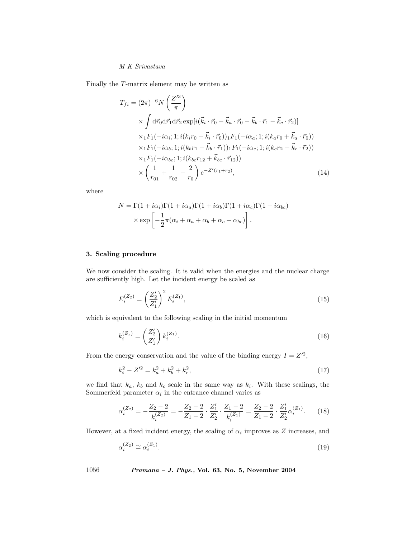## M K Srivastava

Finally the T-matrix element may be written as

$$
T_{fi} = (2\pi)^{-6} N \left(\frac{Z'^3}{\pi}\right)
$$
  
\n
$$
\times \int d\vec{r_0} d\vec{r_1} d\vec{r_2} \exp[i(\vec{k}_i \cdot \vec{r_0} - \vec{k}_a \cdot \vec{r_0} - \vec{k}_b \cdot \vec{r_1} - \vec{k}_c \cdot \vec{r_2})]
$$
  
\n
$$
\times {}_1F_1(-i\alpha_i; 1; i(k_i r_0 - \vec{k}_i \cdot \vec{r_0})) {}_1F_1(-i\alpha_a; 1; i(k_a r_0 + \vec{k}_a \cdot \vec{r_0}))
$$
  
\n
$$
\times {}_1F_1(-i\alpha_b; 1; i(k_b r_1 - \vec{k}_b \cdot \vec{r_1})) {}_1F_1(-i\alpha_c; 1; i(k_c r_2 + \vec{k}_c \cdot \vec{r_2}))
$$
  
\n
$$
\times {}_1F_1(-i\alpha_{bc}; 1; i(k_b c r_{12} + \vec{k}_{bc} \cdot \vec{r_{12}}))
$$
  
\n
$$
\times \left(\frac{1}{r_{01}} + \frac{1}{r_{02}} - \frac{2}{r_0}\right) e^{-Z'(r_1 + r_2)},
$$
\n(14)

where

$$
N = \Gamma(1 + i\alpha_i)\Gamma(1 + i\alpha_a)\Gamma(1 + i\alpha_b)\Gamma(1 + i\alpha_c)\Gamma(1 + i\alpha_{bc})
$$

$$
\times \exp\left[-\frac{1}{2}\pi(\alpha_i + \alpha_a + \alpha_b + \alpha_c + \alpha_{bc})\right].
$$

# 3. Scaling procedure

We now consider the scaling. It is valid when the energies and the nuclear charge are sufficiently high. Let the incident energy be scaled as

$$
E_i^{(Z_2)} = \left(\frac{Z_2'}{Z_1'}\right)^2 E_i^{(Z_1)},\tag{15}
$$

which is equivalent to the following scaling in the initial momentum

$$
k_i^{(Z_z)} = \left(\frac{Z_2'}{Z_1'}\right) k_i^{(Z_1)}.
$$
\n(16)

From the energy conservation and the value of the binding energy  $I = Z^2$ ,

$$
k_i^2 - Z^{\prime 2} = k_a^2 + k_b^2 + k_c^2,\tag{17}
$$

we find that  $k_a$ ,  $k_b$  and  $k_c$  scale in the same way as  $k_i$ . With these scalings, the Sommerfeld parameter  $\alpha_i$  in the entrance channel varies as

$$
\alpha_i^{(Z_2)} = -\frac{Z_2 - 2}{k_i^{(Z_2)}} = -\frac{Z_2 - 2}{Z_1 - 2} \cdot \frac{Z_1'}{Z_2'} \cdot \frac{Z_1 - 2}{k_i^{(Z_1)}} = \frac{Z_2 - 2}{Z_1 - 2} \cdot \frac{Z_1'}{Z_2'} \alpha_i^{(Z_1)}.\tag{18}
$$

However, at a fixed incident energy, the scaling of  $\alpha_i$  improves as Z increases, and

$$
\alpha_i^{(Z_2)} \cong \alpha_i^{(Z_1)}.\tag{19}
$$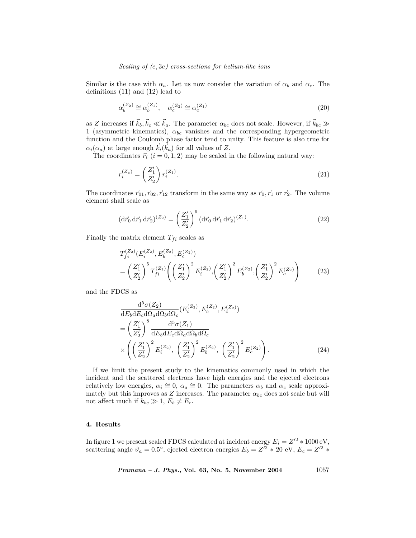## Scaling of (e, 3e) cross-sections for helium-like ions

Similar is the case with  $\alpha_a$ . Let us now consider the variation of  $\alpha_b$  and  $\alpha_c$ . The definitions (11) and (12) lead to

$$
\alpha_b^{(Z_2)} \cong \alpha_b^{(Z_1)}, \quad \alpha_c^{(Z_2)} \cong \alpha_c^{(Z_1)} \tag{20}
$$

as Z increases if  $\vec{k}_b, \vec{k}_c \ll \vec{k}_a$ . The parameter  $\alpha_{bc}$  does not scale. However, if  $\vec{k}_{bc} \gg$ 1 (asymmetric kinematics),  $\alpha_{bc}$  vanishes and the corresponding hypergeometric function and the Coulomb phase factor tend to unity. This feature is also true for  $\alpha_i(\alpha_a)$  at large enough  $\vec{k}_i(\vec{k}_a)$  for all values of Z.

The coordinates  $\vec{r}_i$   $(i = 0, 1, 2)$  may be scaled in the following natural way:

$$
r_i^{(Z_z)} = \left(\frac{Z_1'}{Z_2'}\right) r_i^{(Z_1)}.
$$
\n(21)

The coordinates  $\vec{r}_{01}, \vec{r}_{02}, \vec{r}_{12}$  transform in the same way as  $\vec{r}_0, \vec{r}_1$  or  $\vec{r}_2$ . The volume element shall scale as

$$
(\mathrm{d}\vec{r}_0 \,\mathrm{d}\vec{r}_1 \,\mathrm{d}\vec{r}_2)^{(Z_2)} = \left(\frac{Z'_1}{Z'_2}\right)^9 (\mathrm{d}\vec{r}_0 \,\mathrm{d}\vec{r}_1 \,\mathrm{d}\vec{r}_2)^{(Z_1)}.\tag{22}
$$

Finally the matrix element  $T_{fi}$  scales as

$$
T_{fi}^{(Z_2)}(E_i^{(Z_2)}, E_b^{(Z_2)}, E_c^{(Z_2)})
$$
  
=  $\left(\frac{Z'_1}{Z'_2}\right)^5 T_{fi}^{(Z_1)} \left(\left(\frac{Z'_1}{Z'_2}\right)^2 E_i^{(Z_2)}, \left(\frac{Z'_1}{Z'_2}\right)^2 E_b^{(Z_2)}, \left(\frac{Z'_1}{Z'_2}\right)^2 E_c^{(Z_2)}\right)$  (23)

and the FDCS as

$$
\frac{\mathrm{d}^5 \sigma(Z_2)}{\mathrm{d}E_b \mathrm{d}E_c \mathrm{d}\Omega_a \mathrm{d}\Omega_b \mathrm{d}\Omega_c} (E_i^{(Z_2)}, E_b^{(Z_2)}, E_c^{(Z_2)})
$$
\n
$$
= \left(\frac{Z_1'}{Z_2'}\right)^8 \frac{\mathrm{d}^5 \sigma(Z_1)}{\mathrm{d}E_b \mathrm{d}E_c \mathrm{d}\Omega_a \mathrm{d}\Omega_b \mathrm{d}\Omega_c}
$$
\n
$$
\times \left(\left(\frac{Z_1'}{Z_2'}\right)^2 E_i^{(Z_2)}, \left(\frac{Z_1'}{Z_2'}\right)^2 E_b^{(Z_2)}, \left(\frac{Z_1'}{Z_2'}\right)^2 E_c^{(Z_2)}\right). \tag{24}
$$

If we limit the present study to the kinematics commonly used in which the incident and the scattered electrons have high energies and the ejected electrons relatively low energies,  $\alpha_i \cong 0$ ,  $\alpha_a \cong 0$ . The parameters  $\alpha_b$  and  $\alpha_c$  scale approximately but this improves as Z increases. The parameter  $\alpha_{bc}$  does not scale but will not affect much if  $k_{bc} \gg 1, E_b \neq E_c$ .

#### 4. Results

In figure 1 we present scaled FDCS calculated at incident energy  $E_i = Z'^2 * 1000 \text{ eV}$ , scattering angle  $\vartheta_a = 0.5^{\circ}$ , ejected electron energies  $E_b = Z'^2 * 20$  eV,  $E_c = Z'^2 *$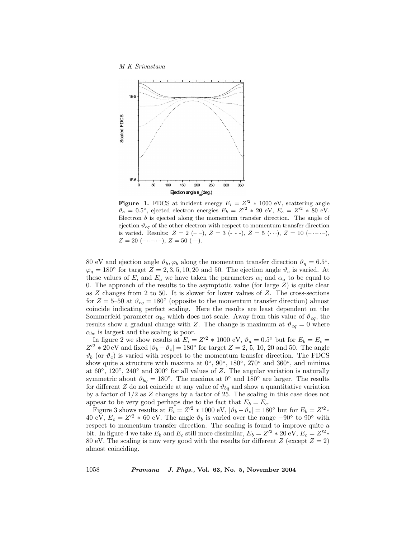#### M K Srivastava



**Figure 1.** FDCS at incident energy  $E_i = Z^2 * 1000 \text{ eV}$ , scattering angle  $\vartheta_a = 0.5^{\circ}$ , ejected electron energies  $E_b = Z'^2 * 20 \text{ eV}, E_c = Z'^2 * 80 \text{ eV}.$ Electron  $b$  is ejected along the momentum transfer direction. The angle of ejection  $\vartheta_{cg}$  of the other electron with respect to momentum transfer direction is varied. Results:  $Z = 2 (- -), Z = 3 (- -), Z = 5 (-), Z = 10 (- - -),$  $Z = 20$  (-..----),  $Z = 50$  (-).

80 eV and ejection angle  $\vartheta_b$ ,  $\varphi_b$  along the momentum transfer direction  $\vartheta_q = 6.5^\circ$ ,  $\varphi_q = 180^\circ$  for target  $Z = 2, 3, 5, 10, 20$  and 50. The ejection angle  $\vartheta_c$  is varied. At these values of  $E_i$  and  $E_a$  we have taken the parameters  $\alpha_i$  and  $\alpha_a$  to be equal to 0. The approach of the results to the asymptotic value (for large  $Z$ ) is quite clear as  $Z$  changes from 2 to 50. It is slower for lower values of  $Z$ . The cross-sections for  $Z = 5$ –50 at  $\vartheta_{cq} = 180^\circ$  (opposite to the momentum transfer direction) almost coincide indicating perfect scaling. Here the results are least dependent on the Sommerfeld parameter  $\alpha_{bc}$  which does not scale. Away from this value of  $\vartheta_{cq}$ , the results show a gradual change with Z. The change is maximum at  $\vartheta_{cq} = 0$  where  $\alpha_{bc}$  is largest and the scaling is poor.

In figure 2 we show results at  $E_i = Z'^2 * 1000 \text{ eV}, \vartheta_a = 0.5^{\circ}$  but for  $E_b = E_c =$  $Z'^2 * 20$  eV and fixed  $|\vartheta_b - \vartheta_c| = 180^{\circ}$  for target  $Z = 2, 5, 10, 20$  and 50. The angle  $\vartheta_b$  (or  $\vartheta_c$ ) is varied with respect to the momentum transfer direction. The FDCS show quite a structure with maxima at  $0°$ ,  $90°$ ,  $180°$ ,  $270°$  and  $360°$ , and minima at  $60^{\circ}$ ,  $120^{\circ}$ ,  $240^{\circ}$  and  $300^{\circ}$  for all values of Z. The angular variation is naturally symmetric about  $\vartheta_{bq} = 180^{\circ}$ . The maxima at  $0^{\circ}$  and  $180^{\circ}$  are larger. The results for different Z do not coincide at any value of  $\vartheta_{bq}$  and show a quantitative variation by a factor of 1/2 as Z changes by a factor of 25. The scaling in this case does not appear to be very good perhaps due to the fact that  $E_b = E_c$ .

Figure 3 shows results at  $E_i = Z'^2 * 1000 \text{ eV}$ ,  $|\vartheta_b - \vartheta_c| = 180^\circ$  but for  $E_b = Z'^2 *$ 40 eV,  $E_c = Z'^2 * 60$  eV. The angle  $\vartheta_b$  is varied over the range  $-90°$  to  $90°$  with respect to momentum transfer direction. The scaling is found to improve quite a bit. In figure 4 we take  $E_b$  and  $E_c$  still more dissimilar,  $E_b = Z'^2 * 20 \text{ eV}, E_c = Z'^2 *$ 80 eV. The scaling is now very good with the results for different  $Z$  (except  $Z = 2$ ) almost coinciding.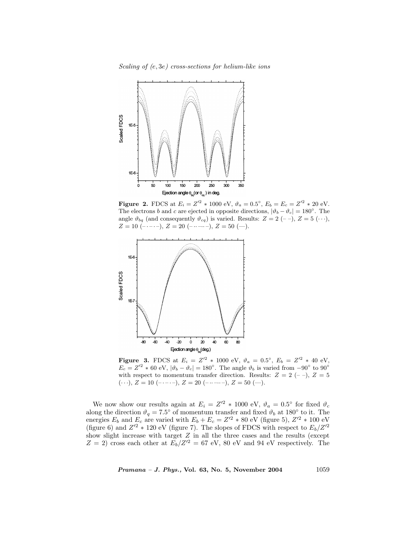Scaling of (e, 3e) cross-sections for helium-like ions



**Figure 2.** FDCS at  $E_i = Z'^2 * 1000 \text{ eV}, \vartheta_a = 0.5^{\circ}, E_b = E_c = Z'^2 * 20 \text{ eV}.$ The electrons b and c are ejected in opposite directions,  $|\vartheta_b - \vartheta_c| = 180^\circ$ . The angle  $\vartheta_{bq}$  (and consequently  $\vartheta_{cq}$ ) is varied. Results:  $Z = 2 (--), Z = 5 (\cdots),$  $Z = 10$  (-----),  $Z = 20$  (------),  $Z = 50$  (--).



**Figure 3.** FDCS at  $E_i = Z'^2 * 1000 \text{ eV}, \ \vartheta_a = 0.5^{\circ}, \ E_b = Z'^2 * 40 \text{ eV},$  $E_c = Z'^2 * 60 \text{ eV}, |\vartheta_b - \vartheta_c| = 180^\circ.$  The angle  $\vartheta_b$  is varied from  $-90^\circ$  to  $90^\circ$ with respect to momentum transfer direction. Results:  $Z = 2$  (--),  $Z = 5$  $(\cdots), Z = 10 \; (-\cdots), Z = 20 \; (-\cdots -\cdots), Z = 50 \; (-).$ 

We now show our results again at  $E_i = Z'^2 * 1000 \text{ eV}, \vartheta_a = 0.5^{\circ}$  for fixed  $\vartheta_c$ along the direction  $\vartheta_q = 7.5^{\circ}$  of momentum transfer and fixed  $\vartheta_b$  at 180 $^{\circ}$  to it. The energies  $E_b$  and  $E_c$  are varied with  $E_b + E_c = Z'^2 * 80$  eV (figure 5),  $Z'^2 * 100$  eV (figure 6) and  $Z'^2 * 120$  eV (figure 7). The slopes of FDCS with respect to  $E_b/Z'^2$ show slight increase with target  $Z$  in all the three cases and the results (except  $Z = 2$ ) cross each other at  $E_b/Z^2 = 67$  eV, 80 eV and 94 eV respectively. The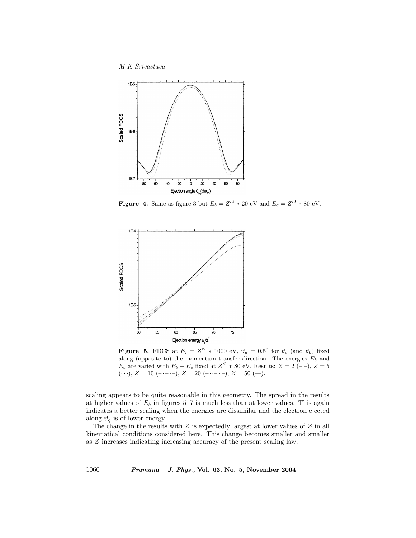M K Srivastava



Figure 4. Same as figure 3 but  $E_b = Z'^2 * 20$  eV and  $E_c = Z'^2 * 80$  eV.



**Figure 5.** FDCS at  $E_i = Z'^2 * 1000 \text{ eV}$ ,  $\vartheta_a = 0.5^{\circ}$  for  $\vartheta_c$  (and  $\vartheta_b$ ) fixed along (opposite to) the momentum transfer direction. The energies  $E<sub>b</sub>$  and  $E_c$  are varied with  $E_b + E_c$  fixed at  $Z^2 * 80$  eV. Results:  $Z = 2 (- -), Z = 5$  $(\cdots), Z = 10 \; (-\cdots), Z = 20 \; (-\cdots -), Z = 50 \; (-).$ 

scaling appears to be quite reasonable in this geometry. The spread in the results at higher values of  $E_b$  in figures 5–7 is much less than at lower values. This again indicates a better scaling when the energies are dissimilar and the electron ejected along  $\vartheta_q$  is of lower energy.

The change in the results with  $Z$  is expectedly largest at lower values of  $Z$  in all kinematical conditions considered here. This change becomes smaller and smaller as Z increases indicating increasing accuracy of the present scaling law.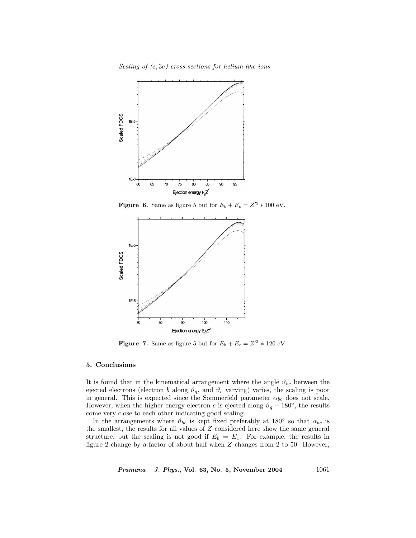Scaling of (e, 3e) cross-sections for helium-like ions



Figure 6. Same as figure 5 but for  $E_b + E_c = Z'^2 * 100 \text{ eV}$ .



Figure 7. Same as figure 5 but for  $E_b + E_c = Z'^2 * 120$  eV.

## 5. Conclusions

It is found that in the kinematical arrangement where the angle  $\vartheta_{bc}$  between the ejected electrons (electron b along  $\vartheta_q$ , and  $\vartheta_c$  varying) varies, the scaling is poor in general. This is expected since the Sommerfeld parameter  $\alpha_{bc}$  does not scale. However, when the higher energy electron c is ejected along  $\vartheta_q + 180^\circ$ , the results come very close to each other indicating good scaling.

In the arrangements where  $\vartheta_{bc}$  is kept fixed preferably at 180<sup>°</sup> so that  $\alpha_{bc}$  is the smallest, the results for all values of Z considered here show the same general structure, but the scaling is not good if  $E_b = E_c$ . For example, the results in figure 2 change by a factor of about half when Z changes from 2 to 50. However,

 $Pramana - J. Phys., Vol. 63, No. 5, November 2004  $1061$$